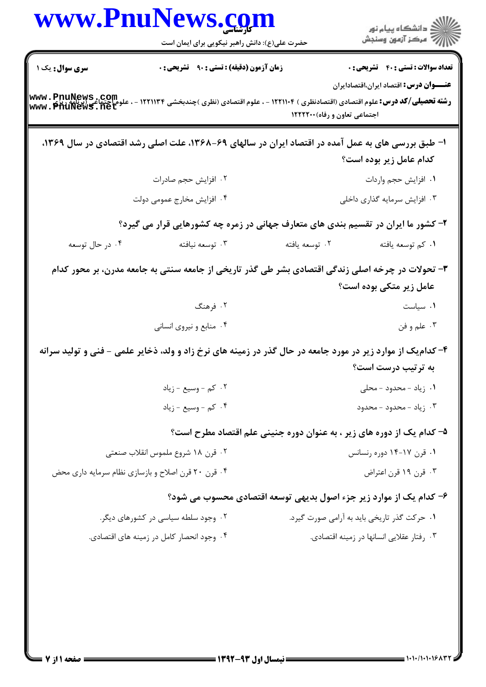|                                                | www.PnuNews.com<br>حضرت علی(ع): دانش راهبر نیکویی برای ایمان است                                            |                               | الاد دانشگاه پيام نور<br>الاسم مرکز آزمون وسنجش                                                |
|------------------------------------------------|-------------------------------------------------------------------------------------------------------------|-------------------------------|------------------------------------------------------------------------------------------------|
| سری سوال: یک ۱                                 | <b>زمان آزمون (دقیقه) : تستی : ۹۰ تشریحی : 0</b>                                                            |                               | <b>تعداد سوالات : تستي : 40 ٪ تشريحي : 0</b><br><b>عنــــوان درس:</b> اقتصاد ایران،اقتصادایران |
| www.PnuNews.com<br>علوم احتماء www.PhuNews.net | <b>رشته تحصیلی/کد درس:</b> علوم اقتصادی (اقتصادنظری ) ۱۲۲۱۱۰۴ - ، علوم اقتصادی (نظری )چندبخشی ۱۲۲۱۱۳۴ -     | اجتماعی تعاون و رفاه) ۱۲۲۲۲۰۰ |                                                                                                |
|                                                | ا- طبق بررسی های به عمل آمده در اقتصاد ایران در سالهای ۶۹-۱۳۶۸، علت اصلی رشد اقتصادی در سال ۱۳۶۹،           |                               |                                                                                                |
|                                                |                                                                                                             |                               | کدام عامل زیر بوده است؟                                                                        |
|                                                | ٢. افزايش حجم صادرات                                                                                        |                               | ٠١. افزايش حجم واردات                                                                          |
|                                                | ۰۴ افزایش مخارج عمومی دولت                                                                                  |                               | ۰۳ افزایش سرمایه گذاری داخلی                                                                   |
|                                                | ۲- کشور ما ایران در تقسیم بندی های متعارف جهانی در زمره چه کشورهایی قرار می گیرد؟                           |                               |                                                                                                |
| ۰۴ در حال توسعه                                | ۰۳ توسعه نيافته                                                                                             | ۰۲ توسعه يافته                | ٠١ كم توسعه يافته                                                                              |
|                                                | ۳- تحولات در چرخه اصلی زندگی اقتصادی بشر طی گذر تاریخی از جامعه سنتی به جامعه مدرن، بر محور کدام            |                               |                                                                                                |
|                                                |                                                                                                             |                               | عامل زیر متکی بوده است؟                                                                        |
|                                                | ۰۲ فرهنگ                                                                                                    |                               | ۰۱ سیاست                                                                                       |
|                                                | ۰۴ منابع و نیروی انسانی                                                                                     |                               | ۰۳ علم و فن                                                                                    |
|                                                | ۴- کدام یک از موارد زیر در مورد جامعه در حال گذر در زمینه های نرخ زاد و ولد، ذخایر علمی - فنی و تولید سرانه |                               |                                                                                                |
|                                                |                                                                                                             |                               | به ترتیب درست است؟                                                                             |
|                                                | ۰۲ کم - وسیع - زیاد                                                                                         |                               | ۰۱ زیاد - محدود - محلی                                                                         |
|                                                | ۰۴ کم - وسيع - زياد                                                                                         |                               | ۰۳ زیاد - محدود - محدود                                                                        |
|                                                |                                                                                                             |                               | ۵– کدام یک از دوره های زیر ، به عنوان دوره جنینی علم اقتصاد مطرح است؟                          |
|                                                | ۰۲ قرن ۱۸ شروع ملموس انقلاب صنعتی                                                                           |                               | ۰۱ قرن ۱۷-۱۴ دوره رنسانس                                                                       |
|                                                | ۰۴ قرن ۲۰ قرن اصلاح و بازسازی نظام سرمایه داری محض                                                          |                               | ۰۳ قرن ۱۹ قرن اعتراض                                                                           |
|                                                |                                                                                                             |                               | ۶– کدام یک از موارد زیر جزء اصول بدیهی توسعه اقتصادی محسوب می شود؟                             |
|                                                | ۰۲ وجود سلطه سیاسی در کشورهای دیگر.                                                                         |                               | ۰۱ حرکت گذر تاریخی باید به آرامی صورت گیرد.                                                    |
|                                                | ۰۴ وجود انحصار کامل در زمینه های اقتصادی.                                                                   |                               | ۰۳ رفتار عقلایی انسانها در زمینه اقتصادی.                                                      |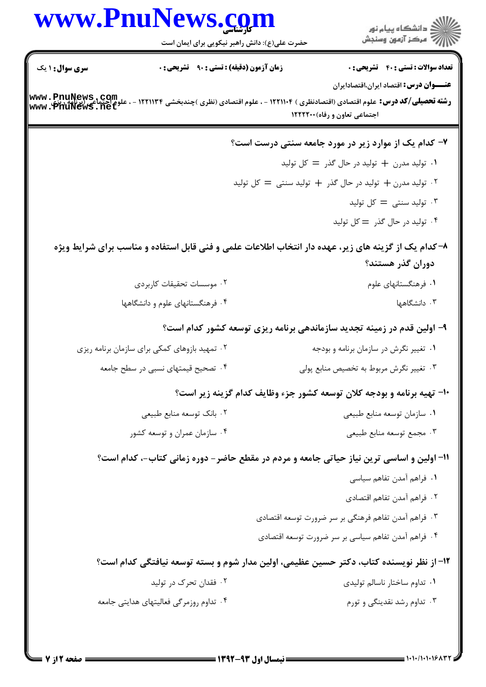|                                                       | www.PnuNews.com                               | الاد دانشگاه پيام نور<br>الا مرکز آزمون وسنجش                                                                                          |
|-------------------------------------------------------|-----------------------------------------------|----------------------------------------------------------------------------------------------------------------------------------------|
|                                                       | حضرت علی(ع): دانش راهبر نیکویی برای ایمان است |                                                                                                                                        |
| <b>سری سوال : ۱ یک</b>                                | زمان آزمون (دقیقه) : تستی : ۹۰٪ تشریحی : ۰    | <b>تعداد سوالات : تستی : 40 - تشریحی : 0</b>                                                                                           |
|                                                       |                                               | عنـــوان درس: اقتصاد ایران،اقتصادایران                                                                                                 |
| www.PnuNews.com<br>علوم احتماعی (پنج www.PriuNews.net |                                               | <b>رشته تحصیلی/کد درس:</b> علوم اقتصادی (اقتصادنظری ) ۱۲۲۱۱۰۴ - ، علوم اقتصادی (نظری )چندبخشی ۱۲۲۱۱۳۴<br>اجتماعی تعاون و رفاه) ۱۲۲۲۲۰۰ |
|                                                       |                                               | ۷- کدام یک از موارد زیر در مورد جامعه سنتی درست است؟                                                                                   |
|                                                       |                                               | ۰۱ تولید مدرن + تولید در حال گذر = کل تولید                                                                                            |
|                                                       |                                               | ۰۲ تولید مدرن + تولید در حال گذر + تولید سنتی = کل تولید                                                                               |
|                                                       |                                               | توليد سنتى = كل توليد $=$                                                                                                              |
|                                                       |                                               | ۰۴ تولید در حال گذر = کل تولید                                                                                                         |
|                                                       |                                               | ۸–کدام یک از گزینه های زیر، عهده دار انتخاب اطلاعات علمی و فنی قابل استفاده و مناسب برای شرایط ویژه                                    |
|                                                       |                                               | دوران گذر هستند؟                                                                                                                       |
|                                                       | ۰۲ موسسات تحقیقات کاربردی                     | ۰۱ فرهنگستانهای علوم                                                                                                                   |
|                                                       | ۰۴ فرهنگستانهای علوم و دانشگاهها              | ۰۳ دانشگاهها                                                                                                                           |
|                                                       |                                               | ۹- اولین قدم در زمینه تجدید سازماندهی برنامه ریزی توسعه کشور کدام است؟                                                                 |
|                                                       | ۰۲ تمهید بازوهای کمکی برای سازمان برنامه ریزی | ۰۱ تغییر نگرش در سازمان برنامه و بودجه                                                                                                 |
|                                                       | ۰۴ تصحیح قیمتهای نسبی در سطح جامعه            | ۰۳ تغییر نگرش مربوط به تخصیص منابع پولی                                                                                                |
|                                                       |                                               | ۱۰- تهیه برنامه و بودجه کلان توسعه کشور جزء وظایف کدام گزینه زیر است؟                                                                  |
|                                                       | ۰۲ بانک توسعه منابع طبیعی                     | ٠١ سازمان توسعه منابع طبيعي                                                                                                            |
|                                                       | ۰۴ سازمان عمران و توسعه کشور                  | ۰۳ مجمع توسعه منابع طبيعي                                                                                                              |
|                                                       |                                               | 11- اولین و اساسی ترین نیاز حیاتی جامعه و مردم در مقطع حاضر – دوره زمانی کتاب-، کدام است؟                                              |
|                                                       |                                               | ٠١ فراهم آمدن تفاهم سياسي                                                                                                              |
|                                                       |                                               | ٢. فراهم آمدن تفاهم اقتصادى                                                                                                            |
|                                                       |                                               | ۰۳ فراهم آمدن تفاهم فرهنگی بر سر ضرورت توسعه اقتصادی                                                                                   |
|                                                       |                                               | ۰۴ فراهم آمدن تفاهم سیاسی بر سر ضرورت توسعه اقتصادی                                                                                    |
|                                                       |                                               | ۱۲– از نظر نویسنده کتاب، دکتر حسین عظیمی، اولین مدار شوم و بسته توسعه نیافتگی کدام است؟                                                |
|                                                       | ۰۲ فقدان تحرک در تولید                        | ۰۱ تداوم ساختار ناسالم توليدي                                                                                                          |
|                                                       | ۰۴ تداوم روزمرگی فعالیتهای هدایتی جامعه       | ۰۳ تداوم رشد نقدینگی و تورم                                                                                                            |
|                                                       |                                               |                                                                                                                                        |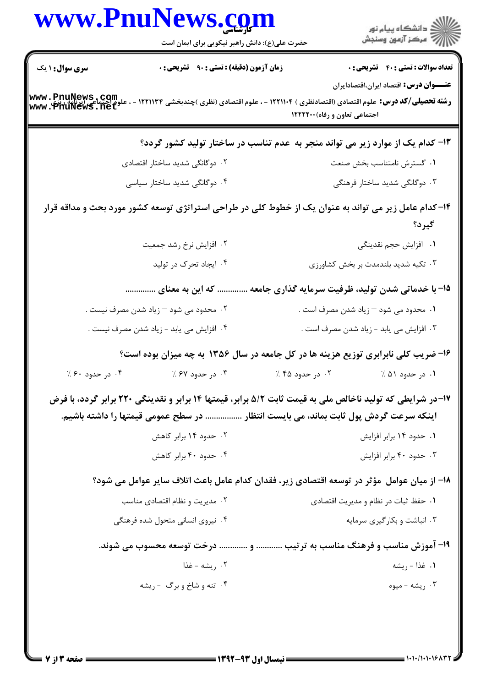|                                     | www.PnuNews.com                                                                                                                                                                                   |                                                   |                                                |
|-------------------------------------|---------------------------------------------------------------------------------------------------------------------------------------------------------------------------------------------------|---------------------------------------------------|------------------------------------------------|
|                                     | حضرت علی(ع): دانش راهبر نیکویی برای ایمان است                                                                                                                                                     |                                                   | الاد دانشگاه پيام نور<br>   > مرکز آزمون وسنجش |
| <b>سری سوال :</b> ۱ یک              | <b>زمان آزمون (دقیقه) : تستی : ۹۰ تشریحی : 0</b>                                                                                                                                                  |                                                   | <b>تعداد سوالات : تستی : 40 - تشریحی : 0</b>   |
| www.PnuNews.com<br>www.PriuNews.net | <b>رشته تحصیلی/کد درس:</b> علوم اقتصادی (اقتصادنظری ) ۱۲۲۱۱۰۴ - ، علوم اقتصادی (نظری )چندبخشی ۱۲۲۱۱۳۴ -                                                                                           | اجتماعی تعاون و رفاه) ۱۲۲۲۲۰۰                     | <b>عنــــوان درس:</b> اقتصاد ایران،اقتصادایران |
|                                     | ۱۳- کدام یک از موارد زیر می تواند منجر به عدم تناسب در ساختار تولید کشور گردد؟                                                                                                                    |                                                   |                                                |
|                                     | ۰۲ دوگانگی شدید ساختار اقتصادی                                                                                                                                                                    |                                                   | ۰۱ گسترش نامتناسب بخش صنعت                     |
|                                     | ۰۴ دوگانگی شدید ساختار سیاسی                                                                                                                                                                      |                                                   | ۰۳ دوگانگی شدید ساختار فرهنگی                  |
|                                     | ۱۴–کدام عامل زیر می تواند به عنوان یک از خطوط کلی در طراحی استراتژی توسعه کشور مورد بحث و مداقه قرار                                                                                              |                                                   | گیرد؟                                          |
|                                     | ۰۲ افزایش نرخ رشد جمعیت                                                                                                                                                                           |                                                   | ۰۱   افزایش حجم نقدینگی                        |
|                                     | ۰۴ ایجاد تحرک در تولید                                                                                                                                                                            |                                                   | ۰۳ تکیه شدید بلندمدت بر بخش کشاورزی            |
|                                     | که این به معنای                                                                                                                                                                                   | ۱۵- با خدماتی شدن تولید، ظرفیت سرمایه گذاری جامعه |                                                |
|                                     | ۰۲ محدود می شود – زیاد شدن مصرف نیست .                                                                                                                                                            | ۰۱ محدود می شود – زیاد شدن مصرف است .             |                                                |
|                                     | ۰۴ افزایش می یابد - زیاد شدن مصرف نیست .                                                                                                                                                          | ۰۳ افزایش می یابد - زیاد شدن مصرف است .           |                                                |
|                                     | ۱۶- ضریب کلی نابرابری توزیع هزینه ها در کل جامعه در سال ۱۳۵۶ به چه میزان بوده است؟                                                                                                                |                                                   |                                                |
| ۰۴ در حدود ۶۰٪                      | ۰۳ در حدود ۶۷٪                                                                                                                                                                                    | ۰۲ در حدود ۴۵ ٪                                   | ۰۱ در حدود ۵۱ ٪                                |
|                                     | ۱۷-در شرایطی که تولید ناخالص ملی به قیمت ثابت ۵/۲ برابر، قیمتها ۱۴ برابر و نقدینگی ۲۲۰ برابر گردد، با فرض<br>اینکه سرعت گردش پول ثابت بماند، می بایست انتظار  در سطح عمومی قیمتها را داشته باشیم. |                                                   |                                                |
|                                     | ۰۲ حدود ۱۴ برابر کاهش                                                                                                                                                                             |                                                   | ۰۱ حدود ۱۴ برابر افزایش                        |
|                                     | ۰۴ حدود ۴۰ برابر کاهش                                                                                                                                                                             |                                                   | ۰۳ حدود ۴۰ برابر افزایش                        |
|                                     | 1۸– از میان عوامل ًمؤثر در توسعه اقتصادی زیر، فقدان کدام عامل باعث اتلاف سایر عوامل می شود؟                                                                                                       |                                                   |                                                |
| ۰۲ مدیریت و نظام اقتصادی مناسب      |                                                                                                                                                                                                   |                                                   | ۰۱ حفظ ثبات در نظام و مدیریت اقتصادی           |
|                                     | ۰۴ نیروی انسانی متحول شده فرهنگی                                                                                                                                                                  |                                                   | ۰۳ انباشت و بکارگیری سرمایه                    |
|                                     | ۱۹- آموزش مناسب و فرهنگ مناسب به ترتیب  و  درخت توسعه محسوب می شوند.                                                                                                                              |                                                   |                                                |
|                                     | ۰۲ ریشه - غذا                                                                                                                                                                                     |                                                   | ۰۱ غذا - ريشه                                  |
|                                     | ۰۴ تنه و شاخ و برگ - ريشه                                                                                                                                                                         |                                                   | ۰۳ ريشه - ميوه                                 |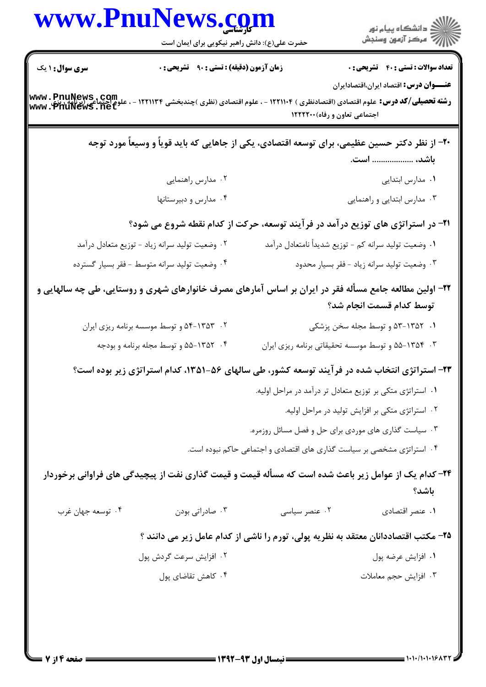|                                                 | www.PnuNews.com                                                                                         |                                                                        | )<br>  دانشگاه پیام نور<br>     = مرکز آزمون وسنجش        |
|-------------------------------------------------|---------------------------------------------------------------------------------------------------------|------------------------------------------------------------------------|-----------------------------------------------------------|
|                                                 | حضرت علی(ع): دانش راهبر نیکویی برای ایمان است                                                           |                                                                        |                                                           |
| <b>سری سوال : ۱ یک</b>                          | <b>زمان آزمون (دقیقه) : تستی : ۹۰ تشریحی : 0</b>                                                        |                                                                        | <b>تعداد سوالات : تستی : 40 - تشریحی : 0</b>              |
| www.PnuNews.com<br>علوم احتماع www.PriuNews.net | <b>رشته تحصیلی/کد درس:</b> علوم اقتصادی (اقتصادنظری ) ۱۲۲۱۱۰۴ - ، علوم اقتصادی (نظری )چندبخشی ۱۲۲۱۱۳۴   | اجتماعی تعاون و رفاه) ۱۲۲۲۲۰۰                                          | <b>عنــــوان درس:</b> اقتصاد ایران،اقتصادایران            |
|                                                 | ۲۰– از نظر دکتر حسین عظیمی، برای توسعه اقتصادی، یکی از جاهایی که باید قویاً و وسیعاً مورد توجه          |                                                                        |                                                           |
|                                                 |                                                                                                         |                                                                        | باشد،  است.                                               |
|                                                 | ۰۲ مدارس راهنمایی                                                                                       |                                                                        | ۰۱ مدارس ابتدایی                                          |
|                                                 | ۰۴ مدارس و دبیرستانها                                                                                   |                                                                        | ۰۳ مدارس ابتدایی و راهنمایی                               |
|                                                 | ۲۱- در استراتژی های توزیع درآمد در فرآیند توسعه، حرکت از کدام نقطه شروع می شود؟                         |                                                                        |                                                           |
|                                                 | ۰۲ وضعیت تولید سرانه زیاد - توزیع متعادل درآمد                                                          |                                                                        | ٠١ وضعيت توليد سرانه كم - توزيع شديداً نامتعادل درآمد     |
|                                                 | ۰۴ وضعیت تولید سرانه متوسط - فقر بسیار گسترده                                                           |                                                                        | ۰۳ وضعیت تولید سرانه زیاد - فقر بسیار محدود               |
|                                                 | ۲۲– اولین مطالعه جامع مسأله فقر در ایران بر اساس آمارهای مصرف خانوارهای شهری و روستایی، طی چه سالهایی و |                                                                        | توسط كدام قسمت انجام شد؟                                  |
|                                                 | ۰۲ . ۱۳۵۳-۵۴ و توسط موسسه برنامه ریزی ایران                                                             |                                                                        | ۰۱ ۵۳-۱۳۵۲ و توسط مجله سخن پزشکی                          |
|                                                 | ۰۴ - ۵۵-۱۳۵۲ و توسط مجله برنامه و بودجه                                                                 |                                                                        | ۰۳ ـ ۵۵-۱۳۵۴ هو توسط موسسه تحقیقاتی برنامه ریزی ایران     |
|                                                 | ۲۳- استراتژی انتخاب شده در فرآیند توسعه کشور، طی سالهای ۵۶-۱۳۵۱، کدام استراتژی زیر بوده است؟            |                                                                        |                                                           |
|                                                 |                                                                                                         |                                                                        | ۰۱ استراتژی متکی بر توزیع متعادل تر درآمد در مراحل اولیه. |
|                                                 |                                                                                                         |                                                                        | ۰۲ استراتژی متکی بر افزایش تولید در مراحل اولیه.          |
|                                                 |                                                                                                         | ۰۳ سیاست گذاری های موردی برای حل و فصل مسائل روزمره.                   |                                                           |
|                                                 |                                                                                                         | ۰۴ استراتژی مشخصی بر سیاست گذاری های اقتصادی و اجتماعی حاکم نبوده است. |                                                           |
|                                                 | ۲۴- کدام یک از عوامل زیر باعث شده است که مسأله قیمت و قیمت گذاری نفت از پیچیدگی های فراوانی برخوردار    |                                                                        |                                                           |
|                                                 |                                                                                                         |                                                                        | باشد؟                                                     |
| ۰۴ توسعه جهان غرب                               | ۰۳ صادراتی بودن                                                                                         | ۰۲ عنصر سیاسی                                                          | ۰۱ عنصر اقتصادی                                           |
|                                                 | ۲۵– مکتب اقتصاددانان معتقد به نظریه پولی، تورم را ناشی از کدام عامل زیر می دانند ؟                      |                                                                        |                                                           |
|                                                 | ۰۲ افزایش سرعت گردش پول                                                                                 |                                                                        | ۰۱ افزايش عرضه پول                                        |
|                                                 | ۰۴ کاهش تقاضای پول                                                                                      |                                                                        | ۰۳ افزايش حجم معاملات                                     |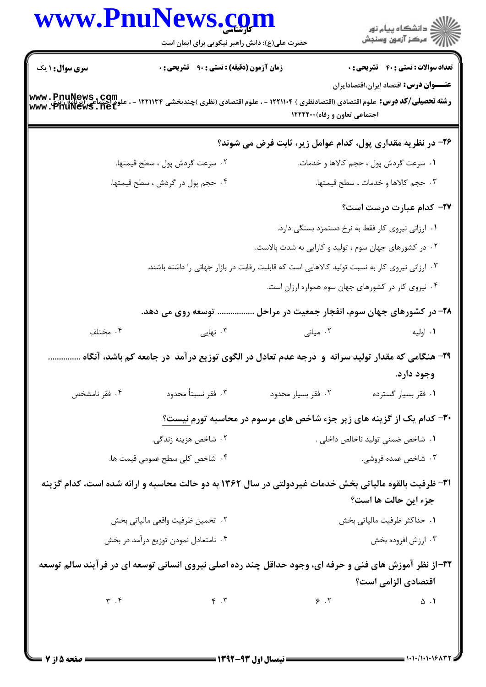|                                | www.PnuNews.com<br>حضرت علی(ع): دانش راهبر نیکویی برای ایمان است                                                                                                                                                                                                              |                                                                                               | ر<br>دانشڪاه پيام نور)<br>ا∛ مرڪز آزمون وسنڊش                                                 |
|--------------------------------|-------------------------------------------------------------------------------------------------------------------------------------------------------------------------------------------------------------------------------------------------------------------------------|-----------------------------------------------------------------------------------------------|-----------------------------------------------------------------------------------------------|
| <b>سری سوال : ۱ یک</b>         | زمان آزمون (دقیقه) : تستی : ۹۰٪ تشریحی : ۰<br>رشته تحصیلی/کد درس: علوم اقتصادی (اقتصادنظری ) ۱۲۲۱۱۱۰۴ - ، علوم اقتصادی (نظری )چندبخشی ۱۲۲۱۱۳۴ - ، علوم احتماع<br>رشته تحصیلی/کد درس: علوم اقتصادی (اقتصادنظری ) ۱۲۲۱۱۱۰۴ - ، علوم اقتصادی (نظری )چندبخشی www . PfiuNews . net | اجتماعی تعاون و رفاه) ۱۲۲۲۲۰۰                                                                 | <b>تعداد سوالات : تستی : 40 - تشریحی : 0</b><br><b>عنـــوان درس:</b> اقتصاد ایران،اقتصادایران |
|                                |                                                                                                                                                                                                                                                                               | ۲۶- در نظریه مقداری پول، کدام عوامل زیر، ثابت فرض می شوند؟                                    |                                                                                               |
|                                | ٢. سرعت گردش پول ، سطح قيمتها.                                                                                                                                                                                                                                                |                                                                                               | ۰۱ سرعت گردش پول ، حجم کالاها و خدمات.                                                        |
|                                | ۰۴ حجم پول در گردش ، سطح قیمتها.                                                                                                                                                                                                                                              |                                                                                               | ۰۳ حجم کالاها و خدمات ، سطح قیمتها.                                                           |
|                                |                                                                                                                                                                                                                                                                               |                                                                                               | ٢٧- كدام عبارت درست است؟                                                                      |
|                                |                                                                                                                                                                                                                                                                               | ۰۱ ارزانی نیروی کار فقط به نرخ دستمزد بستگی دارد.                                             |                                                                                               |
|                                |                                                                                                                                                                                                                                                                               | ۰۲ در کشورهای جهان سوم ، تولید و کارایی به شدت بالاست.                                        |                                                                                               |
|                                |                                                                                                                                                                                                                                                                               | ۰۳ ارزانی نیروی کار به نسبت تولید کالاهایی است که قابلیت رقابت در بازار جهانی را داشته باشند. |                                                                                               |
|                                |                                                                                                                                                                                                                                                                               | ۰۴ نیروی کار در کشورهای جهان سوم همواره ارزان است.                                            |                                                                                               |
|                                | توسعه روی می دهد.                                                                                                                                                                                                                                                             | ۲۸- در کشورهای جهان سوم، انفجار جمعیت در مراحل                                                |                                                                                               |
| ۰۴ مختلف                       | ۰۳ نهایی                                                                                                                                                                                                                                                                      | ۰۲ میانی                                                                                      | ۰۱ اوليه                                                                                      |
|                                | ۲۹- هنگامی که مقدار تولید سرانه و درجه عدم تعادل در الگوی توزیع در آمد در جامعه کم باشد، آنگاه                                                                                                                                                                                |                                                                                               |                                                                                               |
| ۰۴ فقر نامشخص                  | ۰۳ فقر نسبتاً محدود                                                                                                                                                                                                                                                           | ٠٢ فقر بسيار محدود                                                                            | وجود دارد.<br>٠١ فقر بسيار گسترده                                                             |
|                                |                                                                                                                                                                                                                                                                               | ۳۰- کدام یک از گزینه های زیر جزء شاخص های مرسوم در محاسبه تورم <u>نیست؟</u>                   |                                                                                               |
|                                | ۰۲ شاخص هزینه زندگی.                                                                                                                                                                                                                                                          |                                                                                               | ٠١ شاخص ضمني توليد ناخالص داخلي .                                                             |
| ۰۴ شاخص کلی سطح عمومی قیمت ها. |                                                                                                                                                                                                                                                                               |                                                                                               | ۰۳ شاخص عمده فروشی.                                                                           |
|                                | ۳۱- ظرفیت بالقوه مالیاتی بخش خدمات غیردولتی در سال ۱۳۶۲ به دو حالت محاسبه و ارائه شده است، کدام گزینه                                                                                                                                                                         |                                                                                               | جزء این حالت ها است؟                                                                          |
|                                | ۰۲ تخمین ظرفیت واقعی مالیاتی بخش                                                                                                                                                                                                                                              |                                                                                               | ٠١ حداكثر ظرفيت مالياتي بخش                                                                   |
|                                | ۰۴ نامتعادل نمودن توزيع درآمد در بخش                                                                                                                                                                                                                                          |                                                                                               | ۰۳ ارزش افزوده بخش                                                                            |
|                                | ۳۲-از نظر آموزش های فنی و حرفه ای، وجود حداقل چند رده اصلی نیروی انسانی توسعه ای در فرآیند سالم توسعه                                                                                                                                                                         |                                                                                               | اقتصادي الزامي است؟                                                                           |
|                                | $\mathbf{r} \cdot \mathbf{r}$                                                                                                                                                                                                                                                 | $\epsilon$ . T                                                                                | $\Delta$ . $\Lambda$                                                                          |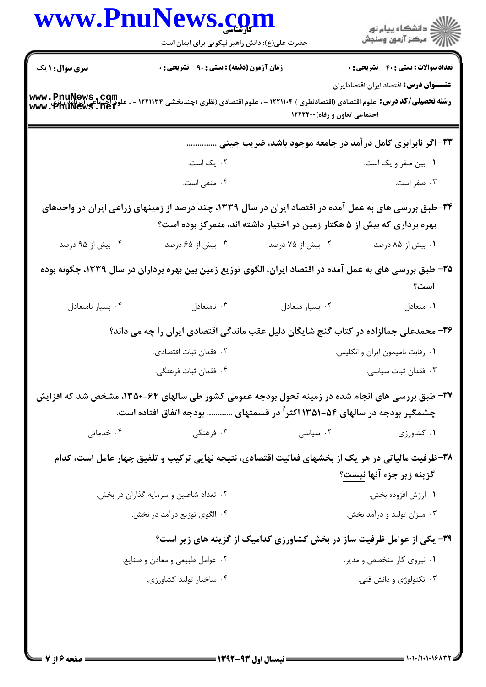|                                                    | www.PnuNews.com                                                                                                                                                              |                                                                          |                                                                        |
|----------------------------------------------------|------------------------------------------------------------------------------------------------------------------------------------------------------------------------------|--------------------------------------------------------------------------|------------------------------------------------------------------------|
|                                                    | حضرت علی(ع): دانش راهبر نیکویی برای ایمان است                                                                                                                                |                                                                          | الا دانشگاه پيام نور<br>  پر مرکز آزمون وسنجش                          |
| <b>سری سوال : ۱ یک</b>                             | <b>زمان آزمون (دقیقه) : تستی : ۹۰ قشریحی : 0</b>                                                                                                                             |                                                                          | <b>تعداد سوالات : تستی : 40 قشریحی : 0</b>                             |
| www.PnuNews.com<br>علوم احتماع<br>www.PriuNews.net | <b>رشته تحصیلی/کد درس:</b> علوم اقتصادی (اقتصادنظری ) ۱۲۲۱۱۰۴ - ، علوم اقتصادی (نظری )چندبخشی ۱۲۲۱۱۳۴ -                                                                      | اجتماعی تعاون و رفاه) ۱۲۲۲۲۰۰                                            | <b>عنــــوان درس:</b> اقتصاد ایران،اقتصادایران                         |
|                                                    |                                                                                                                                                                              |                                                                          | ۳۳- اگر نابرابری کامل در آمد در جامعه موجود باشد، ضریب جینی            |
|                                                    | ۰۲ یک است.                                                                                                                                                                   |                                                                          | ۰۱ بین صفر و یک است.                                                   |
|                                                    | ۰۴ منفی است.                                                                                                                                                                 |                                                                          | ۰۳ صفر است.                                                            |
|                                                    | ۳۴-طبق بررسی های به عمل آمده در اقتصاد ایران در سال ۱۳۳۹، چند درصد از زمینهای زراعی ایران در واحدهای                                                                         | بهره برداری که بیش از ۵ هکتار زمین در اختیار داشته اند، متمرکز بوده است؟ |                                                                        |
| ۰۴ بیش از ۹۵ درصد                                  | ۰۳ بیش از ۶۵ درصد                                                                                                                                                            | ۰۲ بیش از ۷۵ درصد                                                        | ۰۱ بیش از ۸۵ درصد                                                      |
|                                                    | ۳۵– طبق بررسی های به عمل آمده در اقتصاد ایران، الگوی توزیع زمین بین بهره برداران در سال ۱۳۳۹، چگونه بوده                                                                     |                                                                          | است؟                                                                   |
| ۰۴ بسیار نامتعادل                                  | ۰۳ نامتعادل                                                                                                                                                                  | ٠٢ بسيار متعادل                                                          | ۰۱ متعادل                                                              |
|                                                    | ۳۶- محمدعلی جمالزاده در کتاب گنج شایگان دلیل عقب ماندگی اقتصادی ایران را چه می داند؟                                                                                         |                                                                          |                                                                        |
|                                                    | ٢. فقدان ثبات اقتصادى.                                                                                                                                                       |                                                                          | ٠١ رقابت ناميمون ايران و انگليس.                                       |
|                                                    | ۰۴ فقدان ثبات فرهنگی.                                                                                                                                                        |                                                                          | ۰۳ فقدان ثبات سیاسی.                                                   |
|                                                    | ۳۷- طبق بررسی های انجام شده در زمینه تحول بودجه عمومی کشور طی سالهای ۶۴-۱۳۵۰، مشخص شد که افزایش<br>چشمگیر بودجه در سالهای ۵۴-۱۳۵۱ اکثراً در قسمتهای  بودجه اتفاق افتاده است. |                                                                          |                                                                        |
| ۰۴ خدماتی                                          | ۰۳ فرهنگی                                                                                                                                                                    | ۰۲ سیاسی                                                                 | ۰۱ کشاورزی                                                             |
|                                                    | ۳۸-ظرفیت مالیاتی در هر یک از بخشهای فعالیت اقتصادی، نتیجه نهایی ترکیب و تلفیق چهار عامل است، کدام                                                                            |                                                                          | گزینه زیر جزء آنها نیست؟                                               |
|                                                    | ۰۲ تعداد شاغلین و سرمایه گذاران در بخش.                                                                                                                                      |                                                                          | ٠١. ارزش افزوده بخش.                                                   |
|                                                    | ۰۴ الگوی توزیع درآمد در بخش.                                                                                                                                                 |                                                                          | ۰۳ میزان تولید و درآمد بخش.                                            |
|                                                    |                                                                                                                                                                              |                                                                          | ۳۹- یکی از عوامل ظرفیت ساز در بخش کشاورزی کدامیک از گزینه های زیر است؟ |
|                                                    | ۰۲ عوامل طبیعی و معادن و صنایع.                                                                                                                                              |                                                                          | ۰۱ نیروی کار متخصص و مدیر.                                             |
|                                                    | ۰۴ ساختار تولید کشاورزی.                                                                                                                                                     |                                                                          | ۰۳ تکنولوژی و دانش فنی.                                                |
|                                                    |                                                                                                                                                                              |                                                                          |                                                                        |
|                                                    |                                                                                                                                                                              |                                                                          |                                                                        |